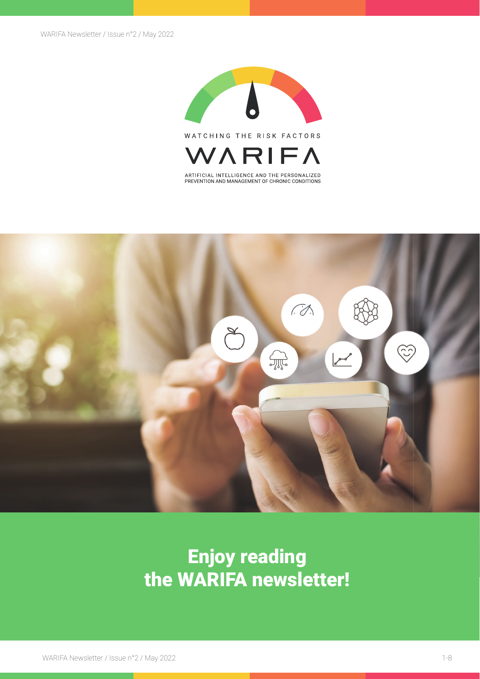

WATCHING THE RISK FACTORS



ARTIFICIAL INTELLIGENCE AND THE PERSONALIZED<br>PREVENTION AND MANAGEMENT OF CHRONIC CONDITIONS



## Enjoy reading the WARIFA newsletter!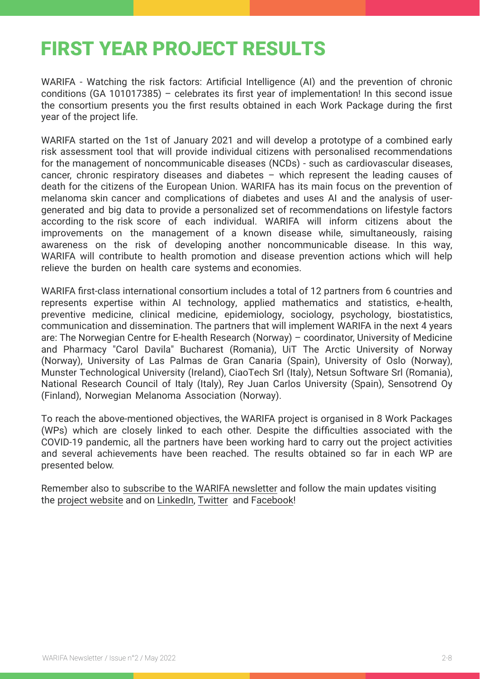## FIRST YEAR PROJECT RESULTS

WARIFA - Watching the risk factors: Artificial Intelligence (AI) and the prevention of chronic conditions (GA 101017385) – celebrates its first year of implementation! In this second issue the consortium presents you the first results obtained in each Work Package during the first year of the project life.

WARIFA started on the 1st of January 2021 and will develop a prototype of a combined early risk assessment tool that will provide individual citizens with personalised recommendations for the management of noncommunicable diseases (NCDs) - such as cardiovascular diseases, cancer, chronic respiratory diseases and diabetes – which represent the leading causes of death for the citizens of the European Union. WARIFA has its main focus on the prevention of melanoma skin cancer and complications of diabetes and uses AI and the analysis of usergenerated and big data to provide a personalized set of recommendations on lifestyle factors according to the risk score of each individual. WARIFA will inform citizens about the improvements on the management of a known disease while, simultaneously, raising awareness on the risk of developing another noncommunicable disease. In this way, WARIFA will contribute to health promotion and disease prevention actions which will help relieve the burden on health care systems and economies.

WARIFA first-class international consortium includes a total of 12 partners from 6 countries and represents expertise within AI technology, applied mathematics and statistics, e-health, preventive medicine, clinical medicine, epidemiology, sociology, psychology, biostatistics, communication and dissemination. The partners that will implement WARIFA in the next 4 years are: The Norwegian Centre for E-health Research (Norway) – coordinator, University of Medicine and Pharmacy "Carol Davila" Bucharest (Romania), UiT The Arctic University of Norway (Norway), University of Las Palmas de Gran Canaria (Spain), University of Oslo (Norway), Munster Technological University (Ireland), CiaoTech Srl (Italy), Netsun Software Srl (Romania), National Research Council of Italy (Italy), Rey Juan Carlos University (Spain), Sensotrend Oy (Finland), Norwegian Melanoma Association (Norway).

To reach the above-mentioned objectives, the WARIFA project is organised in 8 Work Packages (WPs) which are closely linked to each other. Despite the difficulties associated with the COVID-19 pandemic, all the partners have been working hard to carry out the project activities and several achievements have been reached. The results obtained so far in each WP are presented below.

Remember also to [subscribe to the WARIFA newsletter](https://www.warifa.eu/newsletter/) and follow the main updates visiting the project website and on [LinkedIn,](https://www.linkedin.com/company/warifa-project/) [Twitter](https://twitter.com/ProjectWarifa) and [Facebook!](https://www.facebook.com/ProjectWarifa/)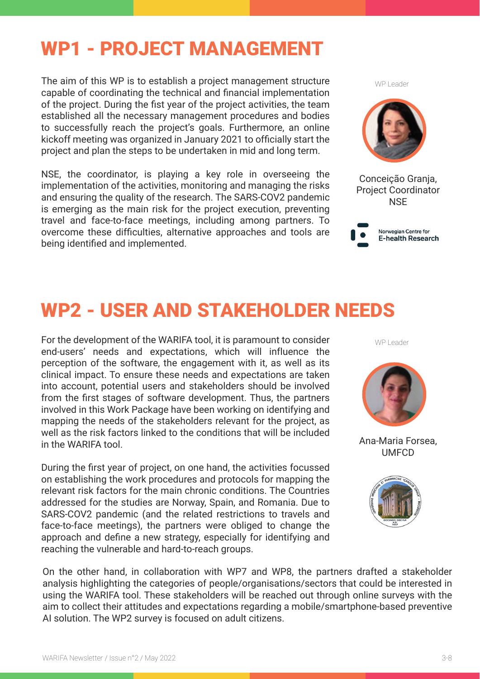## WP1 - PROJECT MANAGEMENT

The aim of this WP is to establish a project management structure capable of coordinating the technical and financial implementation of the project. During the fist year of the project activities, the team established all the necessary management procedures and bodies to successfully reach the project's goals. Furthermore, an online kickoff meeting was organized in January 2021 to officially start the project and plan the steps to be undertaken in mid and long term.

NSE, the coordinator, is playing a key role in overseeing the implementation of the activities, monitoring and managing the risks and ensuring the quality of the research. The SARS-COV2 pandemic is emerging as the main risk for the project execution, preventing travel and face-to-face meetings, including among partners. To overcome these difficulties, alternative approaches and tools are being identified and implemented.

WP Leader



Conceição Granja, Project Coordinator **NSF** 



## WP2 - USER AND STAKEHOLDER NEEDS

For the development of the WARIFA tool, it is paramount to consider end-users' needs and expectations, which will influence the perception of the software, the engagement with it, as well as its clinical impact. To ensure these needs and expectations are taken into account, potential users and stakeholders should be involved from the first stages of software development. Thus, the partners involved in this Work Package have been working on identifying and mapping the needs of the stakeholders relevant for the project, as well as the risk factors linked to the conditions that will be included in the WARIFA tool.

During the first year of project, on one hand, the activities focussed on establishing the work procedures and protocols for mapping the relevant risk factors for the main chronic conditions. The Countries addressed for the studies are Norway, Spain, and Romania. Due to SARS-COV2 pandemic (and the related restrictions to travels and face-to-face meetings), the partners were obliged to change the approach and define a new strategy, especially for identifying and reaching the vulnerable and hard-to-reach groups.

WP Leader



Ana-Maria Forsea, UMFCD



On the other hand, in collaboration with WP7 and WP8, the partners drafted a stakeholder analysis highlighting the categories of people/organisations/sectors that could be interested in using the WARIFA tool. These stakeholders will be reached out through online surveys with the aim to collect their attitudes and expectations regarding a mobile/smartphone-based preventive AI solution. The WP2 survey is focused on adult citizens.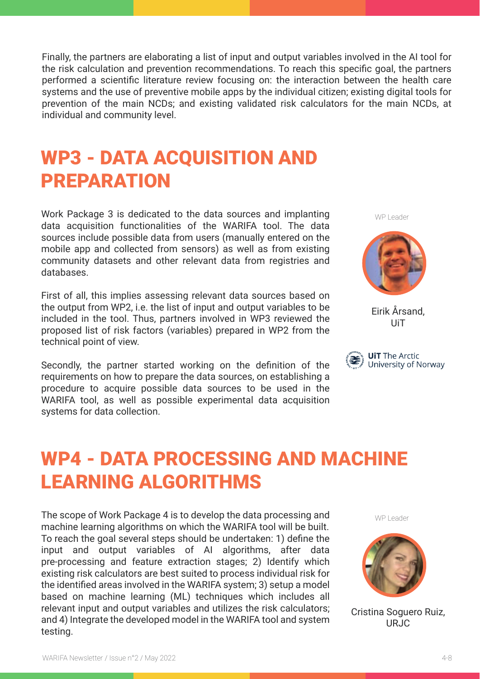Finally, the partners are elaborating a list of input and output variables involved in the AI tool for the risk calculation and prevention recommendations. To reach this specific goal, the partners performed a scientific literature review focusing on: the interaction between the health care systems and the use of preventive mobile apps by the individual citizen; existing digital tools for prevention of the main NCDs; and existing validated risk calculators for the main NCDs, at individual and community level.

## WP3 - DATA ACQUISITION AND PREPARATION

Work Package 3 is dedicated to the data sources and implanting data acquisition functionalities of the WARIFA tool. The data sources include possible data from users (manually entered on the mobile app and collected from sensors) as well as from existing community datasets and other relevant data from registries and databases.

First of all, this implies assessing relevant data sources based on the output from WP2, i.e. the list of input and output variables to be included in the tool. Thus, partners involved in WP3 reviewed the proposed list of risk factors (variables) prepared in WP2 from the technical point of view.

Secondly, the partner started working on the definition of the requirements on how to prepare the data sources, on establishing a procedure to acquire possible data sources to be used in the WARIFA tool, as well as possible experimental data acquisition systems for data collection.

WP Leader



Eirik Årsand, UiT



# WP4 - DATA PROCESSING AND MACHINE LEARNING ALGORITHMS

The scope of Work Package 4 is to develop the data processing and machine learning algorithms on which the WARIFA tool will be built. To reach the goal several steps should be undertaken: 1) define the input and output variables of AI algorithms, after data pre-processing and feature extraction stages; 2) Identify which existing risk calculators are best suited to process individual risk for the identified areas involved in the WARIFA system; 3) setup a model based on machine learning (ML) techniques which includes all relevant input and output variables and utilizes the risk calculators; and 4) Integrate the developed model in the WARIFA tool and system testing.

WP Leader



Cristina Soguero Ruiz, URJC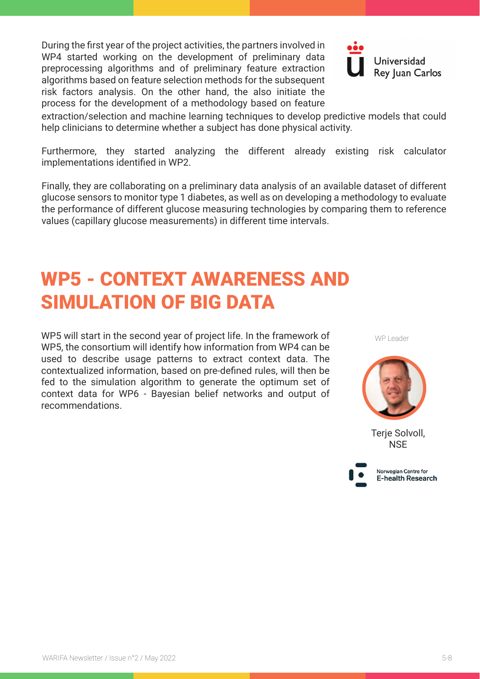During the first year of the project activities, the partners involved in WP4 started working on the development of preliminary data preprocessing algorithms and of preliminary feature extraction algorithms based on feature selection methods for the subsequent risk factors analysis. On the other hand, the also initiate the process for the development of a methodology based on feature



extraction/selection and machine learning techniques to develop predictive models that could help clinicians to determine whether a subject has done physical activity.

Furthermore, they started analyzing the different already existing risk calculator implementations identified in WP2.

Finally, they are collaborating on a preliminary data analysis of an available dataset of different glucose sensors to monitor type 1 diabetes, as well as on developing a methodology to evaluate the performance of different glucose measuring technologies by comparing them to reference values (capillary glucose measurements) in different time intervals.

## WP5 - CONTEXT AWARENESS AND SIMULATION OF BIG DATA

WP5 will start in the second year of project life. In the framework of WP5, the consortium will identify how information from WP4 can be used to describe usage patterns to extract context data. The contextualized information, based on pre-defined rules, will then be fed to the simulation algorithm to generate the optimum set of context data for WP6 - Bayesian belief networks and output of recommendations.





Terje Solvoll, **NSE** 

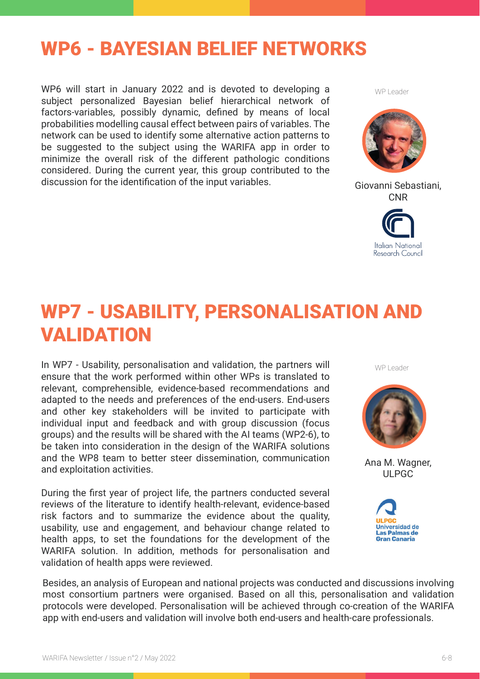#### WP6 - BAYESIAN BELIEF NETWORKS

WP6 will start in January 2022 and is devoted to developing a subject personalized Bayesian belief hierarchical network of factors-variables, possibly dynamic, defined by means of local probabilities modelling causal effect between pairs of variables. The network can be used to identify some alternative action patterns to be suggested to the subject using the WARIFA app in order to minimize the overall risk of the different pathologic conditions considered. During the current year, this group contributed to the discussion for the identification of the input variables. Giovanni Sebastiani,

WP Leader



CNR



## WP7 - USABILITY, PERSONALISATION AND VALIDATION

In WP7 - Usability, personalisation and validation, the partners will ensure that the work performed within other WPs is translated to relevant, comprehensible, evidence-based recommendations and adapted to the needs and preferences of the end-users. End-users and other key stakeholders will be invited to participate with individual input and feedback and with group discussion (focus groups) and the results will be shared with the AI teams (WP2-6), to be taken into consideration in the design of the WARIFA solutions and the WP8 team to better steer dissemination, communication and exploitation activities.

During the first year of project life, the partners conducted several reviews of the literature to identify health-relevant, evidence-based risk factors and to summarize the evidence about the quality, usability, use and engagement, and behaviour change related to health apps, to set the foundations for the development of the WARIFA solution. In addition, methods for personalisation and validation of health apps were reviewed.

WP Leader



Ana M. Wagner, ULPGC



Besides, an analysis of European and national projects was conducted and discussions involving most consortium partners were organised. Based on all this, personalisation and validation protocols were developed. Personalisation will be achieved through co-creation of the WARIFA app with end-users and validation will involve both end-users and health-care professionals.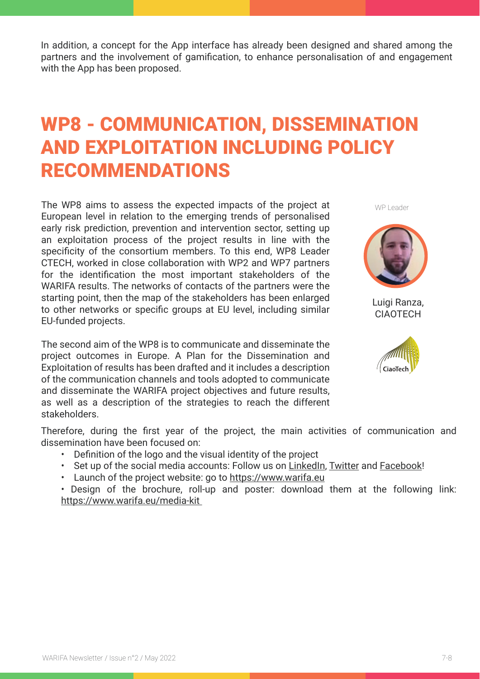In addition, a concept for the App interface has already been designed and shared among the partners and the involvement of gamification, to enhance personalisation of and engagement with the App has been proposed.

## WP8 - COMMUNICATION, DISSEMINATION AND EXPLOITATION INCLUDING POLICY RECOMMENDATIONS

The WP8 aims to assess the expected impacts of the project at European level in relation to the emerging trends of personalised early risk prediction, prevention and intervention sector, setting up an exploitation process of the project results in line with the specificity of the consortium members. To this end, WP8 Leader CTECH, worked in close collaboration with WP2 and WP7 partners for the identification the most important stakeholders of the WARIFA results. The networks of contacts of the partners were the starting point, then the map of the stakeholders has been enlarged to other networks or specific groups at EU level, including similar EU-funded projects.

The second aim of the WP8 is to communicate and disseminate the project outcomes in Europe. A Plan for the Dissemination and Exploitation of results has been drafted and it includes a description of the communication channels and tools adopted to communicate and disseminate the WARIFA project objectives and future results, as well as a description of the strategies to reach the different stakeholders.





Luigi Ranza, **CIAOTECH** 



Therefore, during the first year of the project, the main activities of communication and dissemination have been focused on:

- Definition of the logo and the visual identity of the project
- Set up of the social media accounts: Follow us on [LinkedIn,](https://www.linkedin.com/company/warifa-project/) [Twitter](https://twitter.com/ProjectWarifa) and [Facebook!](https://www.facebook.com/ProjectWarifa/)
- Launch of the project website: go to https://www.warifa.eu

• Design of the brochure, roll-up and poster: download them at the following link: https://www.warifa.eu/media-kit